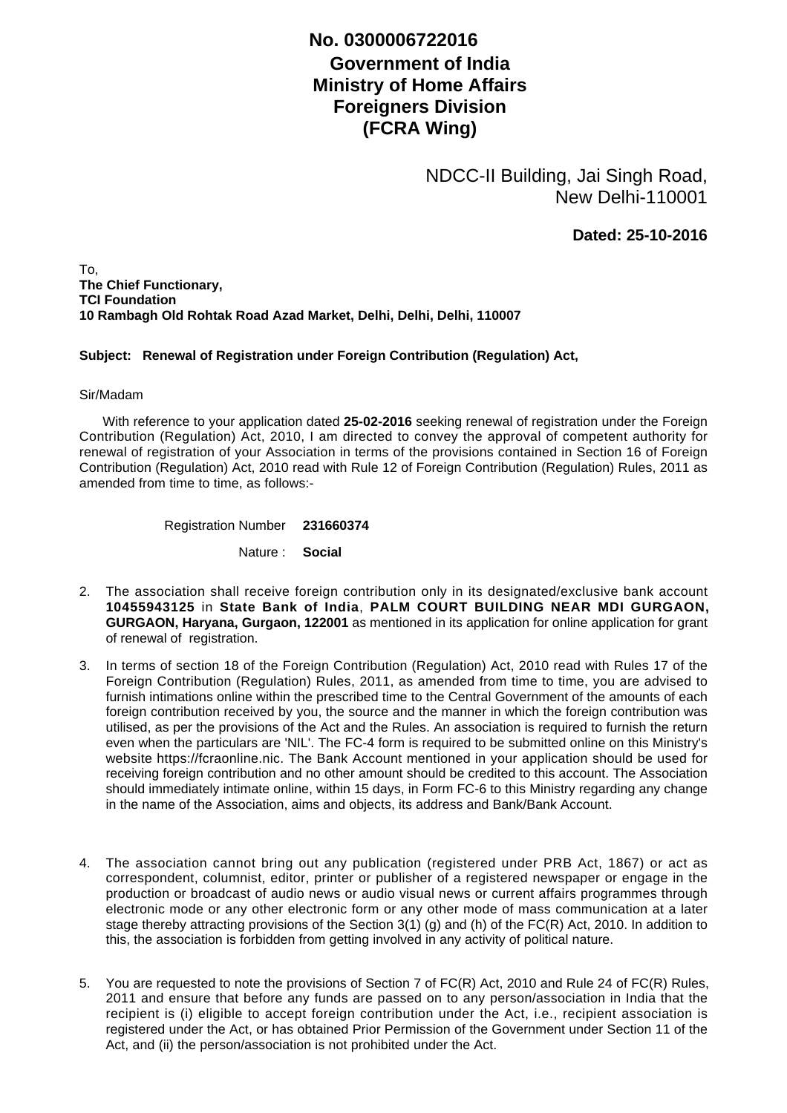## **No. 0300006722016**

## **Government of India Ministry of Home Affairs Foreigners Division (FCRA Wing)**

NDCC-II Building, Jai Singh Road, New Delhi-110001

**Dated: 25-10-2016**

To, **The Chief Functionary, TCI Foundation 10 Rambagh Old Rohtak Road Azad Market, Delhi, Delhi, Delhi, 110007**

## **Subject: Renewal of Registration under Foreign Contribution (Regulation) Act,**

## Sir/Madam

 With reference to your application dated **25-02-2016** seeking renewal of registration under the Foreign Contribution (Regulation) Act, 2010, I am directed to convey the approval of competent authority for renewal of registration of your Association in terms of the provisions contained in Section 16 of Foreign Contribution (Regulation) Act, 2010 read with Rule 12 of Foreign Contribution (Regulation) Rules, 2011 as amended from time to time, as follows:-

Registration Number **231660374**

Nature : **Social**

- The association shall receive foreign contribution only in its designated/exclusive bank account 2. **10455943125** in **State Bank of India**, **PALM COURT BUILDING NEAR MDI GURGAON, GURGAON, Haryana, Gurgaon, 122001** as mentioned in its application for online application for grant of renewal of registration.
- 3. In terms of section 18 of the Foreign Contribution (Regulation) Act, 2010 read with Rules 17 of the Foreign Contribution (Regulation) Rules, 2011, as amended from time to time, you are advised to furnish intimations online within the prescribed time to the Central Government of the amounts of each foreign contribution received by you, the source and the manner in which the foreign contribution was utilised, as per the provisions of the Act and the Rules. An association is required to furnish the return even when the particulars are 'NIL'. The FC-4 form is required to be submitted online on this Ministry's website https://fcraonline.nic. The Bank Account mentioned in your application should be used for receiving foreign contribution and no other amount should be credited to this account. The Association should immediately intimate online, within 15 days, in Form FC-6 to this Ministry regarding any change in the name of the Association, aims and objects, its address and Bank/Bank Account.
- 4. The association cannot bring out any publication (registered under PRB Act, 1867) or act as correspondent, columnist, editor, printer or publisher of a registered newspaper or engage in the production or broadcast of audio news or audio visual news or current affairs programmes through electronic mode or any other electronic form or any other mode of mass communication at a later stage thereby attracting provisions of the Section 3(1) (g) and (h) of the FC(R) Act, 2010. In addition to this, the association is forbidden from getting involved in any activity of political nature.
- 5. You are requested to note the provisions of Section 7 of FC(R) Act, 2010 and Rule 24 of FC(R) Rules, 2011 and ensure that before any funds are passed on to any person/association in India that the recipient is (i) eligible to accept foreign contribution under the Act, i.e., recipient association is registered under the Act, or has obtained Prior Permission of the Government under Section 11 of the Act, and (ii) the person/association is not prohibited under the Act.